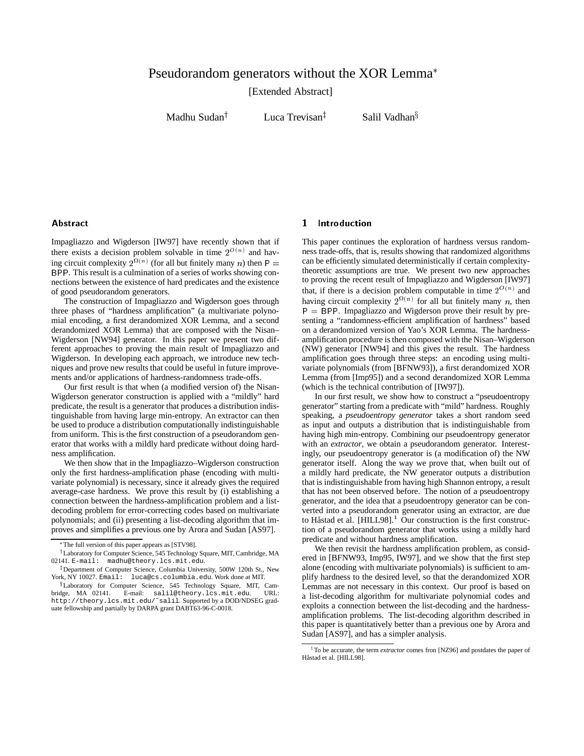# Pseudorandom generators without the XOR Lemma

[Extended Abstract]

Madhu Sudan $^{\dagger}$ 

Luca Trevisan<sup>†</sup>

Salil Vadhan $\S$ 

### **Abstract**

Impagliazzo and Wigderson [IW97] have recently shown that if there exists a decision problem solvable in time  $2^{O(n)}$  and having circuit complexity  $2^{\Omega(n)}$  (for all but finitely many *n*) then P = BPP. This result is a culmination of a series of works showing connections between the existence of hard predicates and the existence of good pseudorandom generators.

The construction of Impagliazzo and Wigderson goes through three phases of "hardness amplification" (a multivariate polynomial encoding, a first derandomized XOR Lemma, and a second derandomized XOR Lemma) that are composed with the Nisan– Wigderson [NW94] generator. In this paper we present two different approaches to proving the main result of Impagliazzo and Wigderson. In developing each approach, we introduce new techniques and prove new results that could be useful in future improvements and/or applications of hardness-randomness trade-offs.

Our first result is that when (a modified version of) the Nisan-Wigderson generator construction is applied with a "mildly" hard predicate, the result is a generator that produces a distribution indistinguishable from having large min-entropy. An extractor can then be used to produce a distribution computationally indistinguishable from uniform. This is the first construction of a pseudorandom generator that works with a mildly hard predicate without doing hardness amplification.

We then show that in the Impagliazzo–Wigderson construction only the first hardness-amplification phase (encoding with multivariate polynomial) is necessary, since it already gives the required average-case hardness. We prove this result by (i) establishing a connection between the hardness-amplification problem and a listdecoding problem for error-correcting codes based on multivariate polynomials; and (ii) presenting a list-decoding algorithm that improves and simplifies a previous one by Arora and Sudan [AS97].

# 1 Introduction

This paper continues the exploration of hardness versus randomness trade-offs, that is, results showing that randomized algorithms can be efficiently simulated deterministically if certain complexitytheoretic assumptions are true. We present two new approaches to proving the recent result of Impagliazzo and Wigderson [IW97] that, if there is a decision problem computable in time  $2^{O(n)}$  and having circuit complexity  $2^{\Omega(n)}$  for all but finitely many n, then  $P = BPP$ . Impagliazzo and Wigderson prove their result by presenting a "randomness-efficient amplification of hardness" based on a derandomized version of Yao's XOR Lemma. The hardnessamplification procedure is then composed with the Nisan–Wigderson (NW) generator [NW94] and this gives the result. The hardness amplification goes through three steps: an encoding using multivariate polynomials (from [BFNW93]), a first derandomized XOR Lemma (from [Imp95]) and a second derandomized XOR Lemma (which is the technical contribution of [IW97]).

In our first result, we show how to construct a "pseudoentropy generator" starting from a predicate with "mild" hardness. Roughly speaking, a *pseudoentropy generator* takes a short random seed as input and outputs a distribution that is indistinguishable from having high min-entropy. Combining our pseudoentropy generator with an *extractor*, we obtain a pseudorandom generator. Interestingly, our pseudoentropy generator is (a modification of) the NW generator itself. Along the way we prove that, when built out of a mildly hard predicate, the NW generator outputs a distribution that is indistinguishable from having high Shannon entropy, a result that has not been observed before. The notion of a pseudoentropy generator, and the idea that a pseudoentropy generator can be converted into a pseudorandom generator using an extractor, are due to Håstad et al.  $[HILL98]$ <sup>1</sup> Our construction is the first construction of a pseudorandom generator that works using a mildly hard predicate and without hardness amplification.

We then revisit the hardness amplification problem, as considered in [BFNW93, Imp95, IW97], and we show that the first step alone (encoding with multivariate polynomials) is sufficient to amplify hardness to the desired level, so that the derandomized XOR Lemmas are not necessary in this context. Our proof is based on a list-decoding algorithm for multivariate polynomial codes and exploits a connection between the list-decoding and the hardnessamplification problems. The list-decoding algorithm described in this paper is quantitatively better than a previous one by Arora and Sudan [AS97], and has a simpler analysis.

The full version of this paper appears as [STV98].

<sup>&</sup>lt;sup>†</sup> Laboratory for Computer Science, 545 Technology Square, MIT, Cambridge, MA 02141. E-mail: madhu@theory.lcs.mit.edu.

<sup>&</sup>lt;sup>‡</sup>Department of Computer Science, Columbia University, 500W 120th St., New York, NY 10027. Email: luca@cs.columbia.edu. Work done at MIT.

<sup>&</sup>lt;sup>§</sup>Laboratory for Computer Science, 545 Technology Square, MIT, Cambridge, MA 02141. E-mail: salil@theory.lcs.mit.edu. URL: http://theory.lcs.mit.edu/˜salil. Supported by a DOD/NDSEG graduate fellowship and partially by DARPA grant DABT63-96-C-0018.

<sup>&</sup>lt;sup>1</sup>To be accurate, the term *extractor* comes fron [NZ96] and postdates the paper of Håstad et al. [HILL98].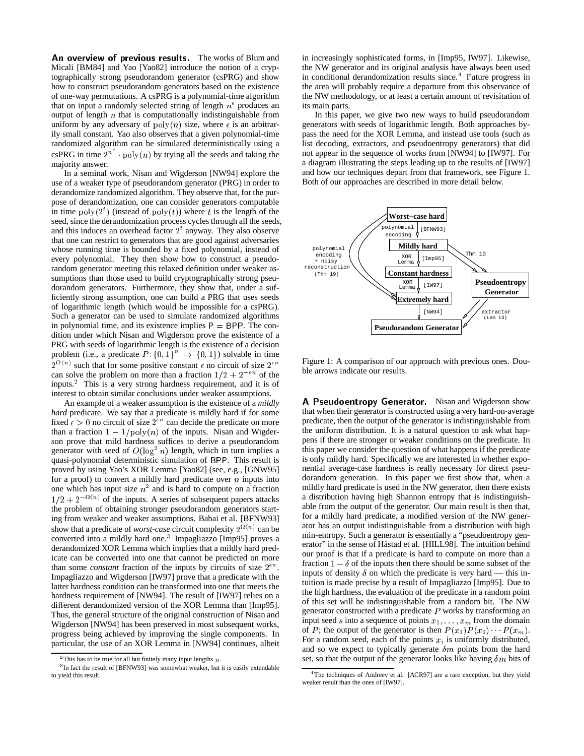An overview of previous results. The works of Blum and Micali [BM84] and Yao [Yao82] introduce the notion of a cryptographically strong pseudorandom generator (csPRG) and show how to construct pseudorandom generators based on the existence of one-way permutations. A csPRG is a polynomial-time algorithm that on input a randomly selected string of length  $n^{\epsilon}$  produces an output of length  $n$  that is computationally indistinguishable from uniform by any adversary of  $poly(n)$  size, where  $\epsilon$  is an arbitrarily small constant. Yao also observes that a given polynomial-time randomized algorithm can be simulated deterministically using a csPRG in time  $2^{n}$  poly(n) by trying all the seeds and taking the majority answer.

In a seminal work, Nisan and Wigderson [NW94] explore the use of a weaker type of pseudorandom generator (PRG) in order to derandomize randomized algorithm. They observe that, for the purpose of derandomization, one can consider generators computable in time  $poly(2<sup>t</sup>)$  (instead of  $poly(t)$ ) where t is the length of the seed, since the derandomization process cycles through all the seeds, and this induces an overhead factor  $2<sup>t</sup>$  anyway. They also observe that one can restrict to generators that are good against adversaries whose running time is bounded by a fixed polynomial, instead of every polynomial. They then show how to construct a pseudorandom generator meeting this relaxed definition under weaker assumptions than those used to build cryptographically strong pseudorandom generators. Furthermore, they show that, under a sufficiently strong assumption, one can build a PRG that uses seeds of logarithmic length (which would be impossible for a csPRG). Such a generator can be used to simulate randomized algorithms in polynomial time, and its existence implies  $P = BPP$ . The condition under which Nisan and Wigderson prove the existence of a PRG with seeds of logarithmic length is the existence of a decision problem (i.e., a predicate  $P: \{0, 1\}^n \rightarrow \{0, 1\}$ ) solvable in time  $2^{O(n)}$  such that for some positive constant  $\epsilon$  no circuit of size  $2^{\epsilon n}$ can solve the problem on more than a fraction  $1/2 + 2^{-\epsilon n}$  of the inputs.<sup>2</sup> This is a very strong hardness requirement, and it is of interest to obtain similar conclusions under weaker assumptions.

An example of a weaker assumption is the existence of a *mildly hard* predicate. We say that a predicate is mildly hard if for some fixed  $\epsilon > 0$  no circuit of size  $2^{\epsilon n}$  can decide the predicate on more than a fraction  $1 - 1/poly(n)$  of the inputs. Nisan and Wigderson prove that mild hardness suffices to derive a pseudorandom generator with seed of  $O(\log^2 n)$  length, which in turn implies a quasi-polynomial deterministic simulation of BPP. This result is proved by using Yao's XOR Lemma [Yao82] (see, e.g., [GNW95] for a proof) to convert a mildly hard predicate over  $n$  inputs into one which has input size  $n^2$  and is hard to compute on a fraction  $1/2 + 2^{-\Omega(n)}$  of the inputs. A series of subsequent papers attacks the problem of obtaining stronger pseudorandom generators starting from weaker and weaker assumptions. Babai et al. [BFNW93] show that a predicate of *worst-case* circuit complexity  $2^{(n)}$  can be converted into a mildly hard one.<sup>3</sup> Impagliazzo [Imp95] proves a derandomized XOR Lemma which implies that a mildly hard predicate can be converted into one that cannot be predicted on more than some *constant* fraction of the inputs by circuits of size  $2^{\epsilon n}$ . Impagliazzo and Wigderson [IW97] prove that a predicate with the latter hardness condition can be transformed into one that meets the hardness requirement of [NW94]. The result of [IW97] relies on a different derandomized version of the XOR Lemma than [Imp95]. Thus, the general structure of the original construction of Nisan and Wigderson [NW94] has been preserved in most subsequent works, progress being achieved by improving the single components. In particular, the use of an XOR Lemma in [NW94] continues, albeit in increasingly sophisticated forms, in [Imp95, IW97]. Likewise, the NW generator and its original analysis have always been used in conditional derandomization results since.<sup>4</sup> Future progress in the area will probably require a departure from this observance of the NW methodology, or at least a certain amount of revisitation of its main parts.

In this paper, we give two new ways to build pseudorandom generators with seeds of logarithmic length. Both approaches bypass the need for the XOR Lemma, and instead use tools (such as list decoding, extractors, and pseudoentropy generators) that did not appear in the sequence of works from [NW94] to [IW97]. For a diagram illustrating the steps leading up to the results of [IW97] and how our techniques depart from that framework, see Figure 1. Both of our approaches are described in more detail below.



Figure 1: A comparison of our approach with previous ones. Double arrows indicate our results.

A Pseudoentropy Generator. Nisan and Wigderson show that when their generator is constructed using a very hard-on-average predicate, then the output of the generator is indistinguishable from the uniform distribution. It is a natural question to ask what happens if there are stronger or weaker conditions on the predicate. In this paper we consider the question of what happens if the predicate is only mildly hard. Specifically we are interested in whether exponential average-case hardness is really necessary for direct pseudorandom generation. In this paper we first show that, when a mildly hard predicate is used in the NW generator, then there exists a distribution having high Shannon entropy that is indistinguishable from the output of the generator. Our main result is then that, for a mildly hard predicate, a modified version of the NW generator has an output indistinguishable from a distribution with high min-entropy. Such a generator is essentially a "pseudoentropy generator" in the sense of Håstad et al. [HILL98]. The intuition behind our proof is that if a predicate is hard to compute on more than a fraction  $1 - \delta$  of the inputs then there should be some subset of the inputs of density  $\delta$  on which the predicate is very hard — this intuition is made precise by a result of Impagliazzo [Imp95]. Due to the high hardness, the evaluation of the predicate in a random point of this set will be indistinguishable from a random bit. The NW generator constructed with a predicate  $P$  works by transforming an input seed s into a sequence of points  $x_1, \ldots, x_m$  from the domain of P; the output of the generator is then  $P(x_1)P(x_2)\cdots P(x_m)$ . For a random seed, each of the points  $x_i$  is uniformly distributed, and so we expect to typically generate  $\delta m$  points from the hard set, so that the output of the generator looks like having  $\delta m$  bits of

<sup>&</sup>lt;sup>2</sup>This has to be true for all but finitely many input lengths  $n$ .

<sup>&</sup>lt;sup>3</sup>In fact the result of [BFNW93] was somewhat weaker, but it is easily extendable to yield this result.

<sup>&</sup>lt;sup>4</sup>The techniques of Andreev et al. [ACR97] are a rare exception, but they yield weaker result than the ones of [IW97].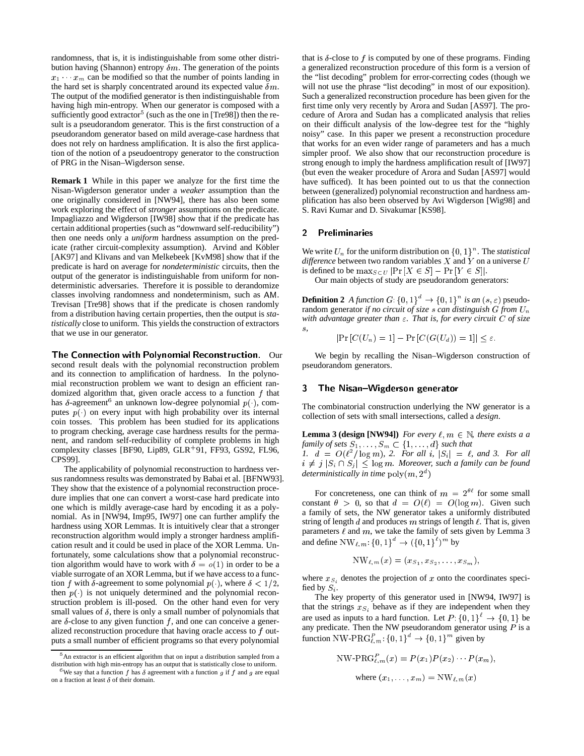randomness, that is, it is indistinguishable from some other distribution having (Shannon) entropy  $\delta m$ . The generation of the points  $x_1 \cdots x_m$  can be modified so that the number of points landing in the hard set is sharply concentrated around its expected value  $\delta m$ . The output of the modified generator is then indistinguishable from having high min-entropy. When our generator is composed with a sufficiently good extractor<sup>5</sup> (such as the one in [Tre98]) then the result is a pseudorandom generator. This is the first construction of a pseudorandom generator based on mild average-case hardness that does not rely on hardness amplification. It is also the first application of the notion of a pseudoentropy generator to the construction of PRG in the Nisan–Wigderson sense.

**Remark 1** While in this paper we analyze for the first time the Nisan-Wigderson generator under a *weaker* assumption than the one originally considered in [NW94], there has also been some work exploring the effect of *stronger* assumptions on the predicate. Impagliazzo and Wigderson [IW98] show that if the predicate has certain additional properties (such as "downward self-reducibility") then one needs only a *uniform* hardness assumption on the predicate (rather circuit-complexity assumption). Arvind and Köbler [AK97] and Klivans and van Melkebeek [KvM98] show that if the predicate is hard on average for *nondeterministic* circuits, then the output of the generator is indistinguishable from uniform for nondeterministic adversaries. Therefore it is possible to derandomize classes involving randomness and nondeterminism, such as AM. Trevisan [Tre98] shows that if the predicate is chosen randomly from a distribution having certain properties, then the output is *statistically* close to uniform. This yields the construction of extractors that we use in our generator.

The Connection with Polynomial Reconstruction. Our second result deals with the polynomial reconstruction problem and its connection to amplification of hardness. In the polynomial reconstruction problem we want to design an efficient randomized algorithm that, given oracle access to a function  $f$  that has  $\delta$ -agreement<sup>6</sup> an unknown low-degree polynomial  $p(.)$ , computes  $p(\cdot)$  on every input with high probability over its internal coin tosses. This problem has been studied for its applications to program checking, average case hardness results for the permanent, and random self-reducibility of complete problems in high complexity classes [BF90, Lip89, GLR<sup>+</sup> 91, FF93, GS92, FL96, CPS99].

The applicability of polynomial reconstruction to hardness versus randomness results was demonstrated by Babai et al. [BFNW93]. They show that the existence of a polynomial reconstruction procedure implies that one can convert a worst-case hard predicate into one which is mildly average-case hard by encoding it as a polynomial. As in [NW94, Imp95, IW97] one can further amplify the hardness using XOR Lemmas. It is intuitively clear that a stronger reconstruction algorithm would imply a stronger hardness amplification result and it could be used in place of the XOR Lemma. Unfortunately, some calculations show that a polynomial reconstruction algorithm would have to work with  $\delta = o(1)$  in order to be a viable surrogate of an XOR Lemma, but if we have access to a function f with  $\delta$ -agreement to some polynomial  $p(\cdot)$ , where  $\delta < 1/2$ , then  $p(\cdot)$  is not uniquely determined and the polynomial reconstruction problem is ill-posed. On the other hand even for very small values of  $\delta$ , there is only a small number of polynomials that are  $\delta$ -close to any given function f, and one can conceive a generalized reconstruction procedure that having oracle access to f outputs a small number of efficient programs so that every polynomial

that is  $\delta$ -close to f is computed by one of these programs. Finding a generalized reconstruction procedure of this form is a version of the "list decoding" problem for error-correcting codes (though we will not use the phrase "list decoding" in most of our exposition). Such a generalized reconstruction procedure has been given for the first time only very recently by Arora and Sudan [AS97]. The procedure of Arora and Sudan has a complicated analysis that relies on their difficult analysis of the low-degree test for the "highly noisy" case. In this paper we present a reconstruction procedure that works for an even wider range of parameters and has a much simpler proof. We also show that our reconstruction procedure is strong enough to imply the hardness amplification result of [IW97] (but even the weaker procedure of Arora and Sudan [AS97] would have sufficed). It has been pointed out to us that the connection between (generalized) polynomial reconstruction and hardness amplification has also been observed by Avi Wigderson [Wig98] and S. Ravi Kumar and D. Sivakumar [KS98].

## 2 Preliminaries

We write  $U_n$  for the uniform distribution on  $\{0, 1\}^n$ . The *statistical difference* between two random variables  $X$  and  $Y$  on a universe  $U$ is defined to be  $\max_{S\subset U}$  |Pr  $[X \in S]$  – Pr  $[Y \in S]$ |.

Our main objects of study are pseudorandom generators:

**Definition 2** *A function*  $G: \{0, 1\}^a \rightarrow \{0, 1\}^n$  *is an*  $(s, \varepsilon)$  pseudorandom generator *if no circuit of size* <sup>s</sup> *can distinguish* <sup>G</sup> *from* Un *with advantage greater than*  $ε$ *. That is, for every circuit*  $C$  *of size* s*,*

$$
|\Pr\left[C(U_n)=1\right]-\Pr\left[C(G(U_d))=1\right]|\leq\varepsilon.
$$

We begin by recalling the Nisan–Wigderson construction of pseudorandom generators.

# 3 The Nisan-Wigderson generator

The combinatorial construction underlying the NW generator is a collection of sets with small intersections, called a *design*.

**Lemma 3 (design [NW94])** *For every*  $\ell, m \in \mathbb{N}$ *, there exists a a family of sets*  $S_1, \ldots, S_m \subset \{1, \ldots, d\}$  *such that* 1.  $d = O(\ell^2/\log m)$ , 2. For all i,  $|S_i| = \ell$ , and 3. For all  $i \neq j \ |S_i \cap S_j| \leq \log m$ . Moreover, such a family can be found *deterministically in time*  $poly(m, 2<sup>d</sup>)$ 

For concreteness, one can think of  $m = 2^{\theta\ell}$  for some small constant  $\theta > 0$ , so that  $d = O(\ell) = O(\log m)$ . Given such a family of sets, the NW generator takes a uniformly distributed string of length d and produces m strings of length  $\ell$ . That is, given parameters  $\ell$  and  $m$ , we take the family of sets given by Lemma 3 and define  $NW_{\ell,m}$ :  $\{0,1\}^d \rightarrow (\{0,1\}^{\ell})^m$  by

$$
\text{NW}_{\ell,m}(x) = (x_{S_1}, x_{S_2}, \ldots, x_{S_m}),
$$

where  $x_{S_i}$  denotes the projection of x onto the coordinates specified by  $S_i$ .

The key property of this generator used in [NW94, IW97] is that the strings  $x_{S_i}$  behave as if they are independent when they are used as inputs to a hard function. Let  $P: \{0,1\}^{\ell} \to \{0,1\}$  be any predicate. Then the NW pseudorandom generator using  $P$  is a function NW-PR $G_{\ell,m}^P$ :  $\{0,1\}^d \rightarrow \{0,1\}^m$  given by

NW-PRG<sub>l,m</sub><sup>P</sup>(x) = P(x<sub>1</sub>)P(x<sub>2</sub>) ··· P(x<sub>m</sub>),  
where 
$$
(x_1, ..., x_m)
$$
 = NW<sub>l,m</sub>(x)

<sup>&</sup>lt;sup>5</sup> An extractor is an efficient algorithm that on input a distribution sampled from a distribution with high min-entropy has an output that is statistically close to uniform.

<sup>&</sup>lt;sup>3</sup>We say that a function f has  $\delta$  agreement with a function g if f and g are equal on a fraction at least  $\delta$  of their domain.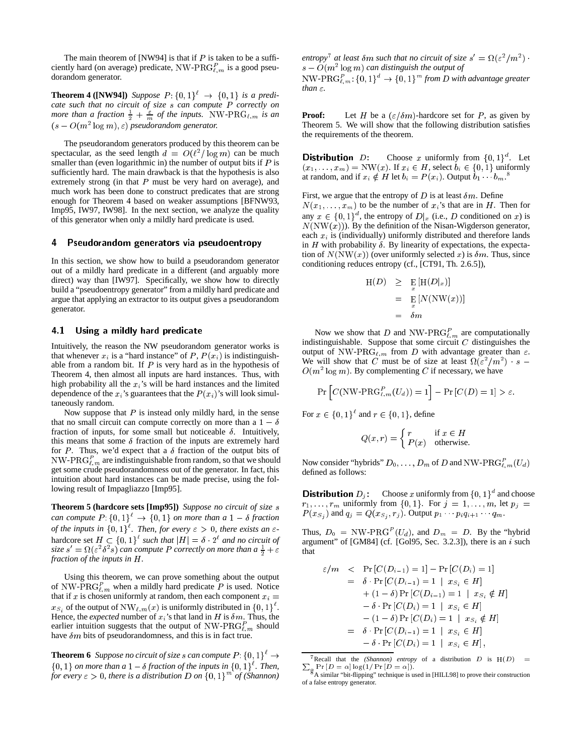The main theorem of [NW94] is that if  $P$  is taken to be a sufficiently hard (on average) predicate, NW-PR $G_{\ell,m}^P$  is a good pseudorandom generator.

**Theorem 4 ([NW94])** Suppose  $P: \{0, 1\}^{\ell} \rightarrow \{0, 1\}$  is a predi*cate such that no circuit of size* <sup>s</sup> *can compute* <sup>P</sup> *correctly on more than a fraction*  $\frac{1}{2} + \frac{\varepsilon}{m}$  *of the inputs.* NW-PRG<sub> $\ell,m$ </sub> *is an*  $(s - O(m^2 \log m), \varepsilon)$  *pseudorandom generator.* 

The pseudorandom generators produced by this theorem can be spectacular, as the seed length  $d = O(\ell^2/\log m)$  can be much smaller than (even logarithmic in) the number of output bits if  $P$  is sufficiently hard. The main drawback is that the hypothesis is also extremely strong (in that  $P$  must be very hard on average), and much work has been done to construct predicates that are strong enough for Theorem 4 based on weaker assumptions [BFNW93, Imp95, IW97, IW98]. In the next section, we analyze the quality of this generator when only a mildly hard predicate is used.

#### 4 Pseudorandom generators via pseudoentropy

In this section, we show how to build a pseudorandom generator out of a mildly hard predicate in a different (and arguably more direct) way than [IW97]. Specifically, we show how to directly build a "pseudoentropy generator" from a mildly hard predicate and argue that applying an extractor to its output gives a pseudorandom generator.

## 4.1 Using a mildly hard predicate

Intuitively, the reason the NW pseudorandom generator works is that whenever  $x_i$  is a "hard instance" of P,  $P(x_i)$  is indistinguishable from a random bit. If  $P$  is very hard as in the hypothesis of Theorem 4, then almost all inputs are hard instances. Thus, with high probability all the  $x_i$ 's will be hard instances and the limited dependence of the  $x_i$ 's guarantees that the  $P(x_i)$ 's will look simultaneously random.

Now suppose that  $P$  is instead only mildly hard, in the sense that no small circuit can compute correctly on more than a  $1 - \delta$ fraction of inputs, for some small but noticeable  $\delta$ . Intuitively, this means that some  $\delta$  fraction of the inputs are extremely hard for P. Thus, we'd expect that a  $\delta$  fraction of the output bits of NW-PRG $_{\ell,m}^P$  are indistinguishable from random, so that we should get some crude pseudorandomness out of the generator. In fact, this intuition about hard instances can be made precise, using the following result of Impagliazzo [Imp95].

**Theorem 5 (hardcore sets [Imp95])** *Suppose no circuit of size* <sup>s</sup> *can compute*  $P: \{0, 1\}^t \to \{0, 1\}$  *on more than a*  $1 - \delta$  *fraction of the inputs in*  $\{0,1\}^{\ell}$ . Then, for every  $\varepsilon > 0$ , there exists an  $\varepsilon$ hardcore set  $H \subset \{0, 1\}^{\ell}$  such that  $|H| = \delta \cdot 2^{\ell}$  and no circuit of size  $s' = \Omega(\varepsilon^2 \delta^2 s)$  *can compute* P *correctly on more than a*  $\frac{1}{2} + \varepsilon$ *fraction of the inputs in* H*.*

Using this theorem, we can prove something about the output of NW-PR $G_{\ell,m}^P$  when a mildly hard predicate P is used. Notice that if x is chosen uniformly at random, then each component  $x_i =$  $x_{S_i}$  of the output of NW $_{\ell,m}(x)$  is uniformly distributed in  $\{0,1\}^{\ell}$ . Hence, the *expected* number of  $x_i$ 's that land in H is  $\delta m$ . Thus, the earlier intuition suggests that the output of NW-PR $G_{\ell,m}^P$  should have  $\delta m$  bits of pseudorandomness, and this is in fact true.

**Theorem 6** *Suppose no circuit of size s can compute*  $P: \{0, 1\}^{\ell} \rightarrow$  $\{0, 1\}$  *on more than a*  $1 - \delta$  *fraction of the inputs in*  $\{0, 1\}^{\ell}$ *. Then, for every*  $\varepsilon > 0$ , there is a distribution D on  $\{0, 1\}^m$  of (Shannon) *entropy*<sup> $\ell$ </sup> at least  $\delta m$  such that no circuit of size  $s' = \Omega(\varepsilon^2/m^2)$ .  $s - O(m^2 \log m)$  *can distinguish the output of* 

 $NW\text{-PRG}_{\ell,m}^P: \{0,1\}^a \rightarrow \{0,1\}^m$  from D with advantage greater  $than \epsilon$ .

**Proof:** Let H be a  $(\varepsilon/\delta m)$ -hardcore set for P, as given by Theorem 5. We will show that the following distribution satisfies the requirements of the theorem.

**Distribution** D: Choose x uniformly from  $\{0, 1\}^d$ . Let  $(x_1, \ldots, x_m) = \text{NW}(x)$ . If  $x_i \in H$ , select  $b_i \in \{0, 1\}$  uniformly at random, and if  $x_i \notin H$  let  $b_i = P(x_i)$ . Output  $b_1 \cdots b_m$ .<sup>8</sup>

First, we argue that the entropy of D is at least  $\delta m$ . Define  $N(x_1, \ldots, x_m)$  to be the number of  $x_i$ 's that are in H. Then for any  $x \in \{0,1\}^d$ , the entropy of  $D_x$  (i.e., D conditioned on x) is  $N(NW(x))$ . By the definition of the Nisan-Wigderson generator, each  $x_i$  is (individually) uniformly distributed and therefore lands in H with probability  $\delta$ . By linearity of expectations, the expectation of  $N(NW(x))$  (over uniformly selected x) is  $\delta m$ . Thus, since conditioning reduces entropy (cf., [CT91, Th. 2.6.5]),

$$
H(D) \geq E_{x} [H(D|x)]
$$
  
= 
$$
E_{x} [N(NW(x))]
$$
  
= 
$$
\delta m
$$

Now we show that D and NW-PRG $_{\ell,m}^P$  are computationally indistinguishable. Suppose that some circuit  $C$  distinguishes the output of NW-PRG<sub> $\ell,m$ </sub> from D with advantage greater than  $\varepsilon$ . We will show that C must be of size at least  $\Omega(\epsilon^2/m^2)$  · s –  $O(m^2 \log m)$ . By complementing C if necessary, we have

$$
\Pr\left[C(\text{NW-PRG}_{\ell,m}^P(U_d))=1\right]-\Pr\left[C(D)=1\right] > \varepsilon.
$$

For  $x \in \{0, 1\}^{\ell}$  and  $r \in \{0, 1\}$ , define

$$
Q(x,r) = \begin{cases} r & \text{if } x \in H \\ P(x) & \text{otherwise.} \end{cases}
$$

Now consider "hybrids"  $D_0, \ldots, D_m$  of D and NW-PRG $_{\ell,m}^P(U_d)$ defined as follows:

**Distribution**  $D_j$  Choose x uniformly from  $\{0, 1\}^d$  and choose  $r_1, \ldots, r_m$  uniformly from  $\{0, 1\}$ . For  $j = 1, \ldots, m$ , let  $p_j =$  $P(x_{S_i})$  and  $q_j = Q(x_{S_i}, r_j)$ . Output  $p_1 \cdots p_i q_{i+1} \cdots q_m$ .

Thus,  $D_0 = NW\text{-PRG}^P(U_d)$ , and  $D_m = D$ . By the "hybrid" argument" of  $[GM84]$  (cf.  $[Gol95, Sec. 3.2.3]$ ), there is an i such that

$$
\varepsilon/m \leq \Pr[C(D_{i-1}) = 1] - \Pr[C(D_i) = 1] \n= \delta \cdot \Pr[C(D_{i-1}) = 1 | x_{S_i} \in H] \n+ (1 - \delta) \Pr[C(D_{i-1}) = 1 | x_{S_i} \notin H] \n- \delta \cdot \Pr[C(D_i) = 1 | x_{S_i} \in H] \n- (1 - \delta) \Pr[C(D_i) = 1 | x_{S_i} \notin H] \n= \delta \cdot \Pr[C(D_{i-1}) = 1 | x_{S_i} \in H] \n- \delta \cdot \Pr[C(D_i) = 1 | x_{S_i} \in H],
$$

<sup>&</sup>lt;sup>7</sup> Recall that the *(Shannon)* entropy of a distribution  $D$  is  $H(D) =$  $\sum_{\mathbf{g}} \Pr[D = \alpha] \log(1/\Pr[D = \alpha])$ .<br>
8 A similar "bit-flipping" technique is used in [HILL98] to prove their construction

of a false entropy generator.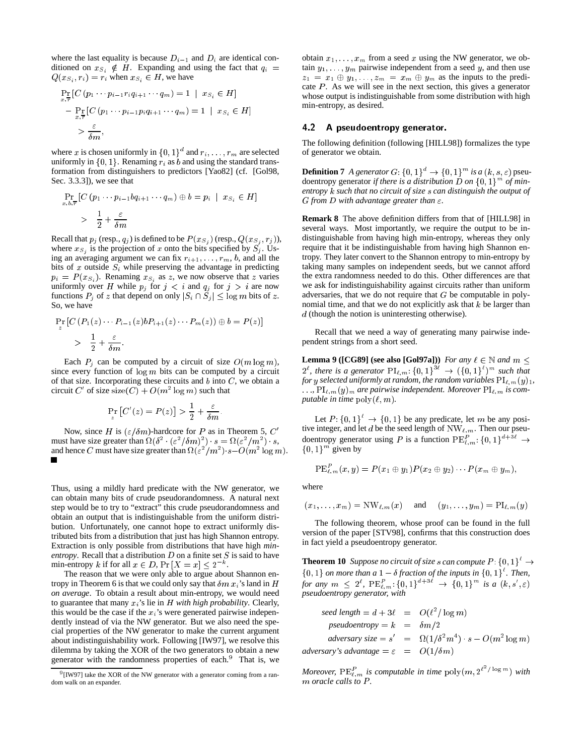where the last equality is because  $D_{i-1}$  and  $D_i$  are identical conditioned on  $x_{S_i} \notin H$ . Expanding and using the fact that  $q_i =$  $Q(x_{S_i}, r_i) = r_i$  when  $x_{S_i} \in H$ , we have

$$
\Pr_{x,\overline{r}}[C(p_1 \cdots p_{i-1}r_iq_{i+1} \cdots q_m) = 1 | x_{S_i} \in H]
$$
  
- 
$$
\Pr_{x,\overline{r}}[C(p_1 \cdots p_{i-1}p_iq_{i+1} \cdots q_m) = 1 | x_{S_i} \in H]
$$
  
> 
$$
\frac{\varepsilon}{\delta m},
$$

where x is chosen uniformly in  $\{0, 1\}^d$  and  $r_1, \ldots, r_m$  are selected uniformly in  $\{0, 1\}$ . Renaming  $r_i$  as b and using the standard transformation from distinguishers to predictors [Yao82] (cf. [Gol98, Sec. 3.3.3]), we see that

$$
\Pr_{x,b,\overline{r}}[C(p_1 \cdots p_{i-1} b q_{i+1} \cdots q_m) \oplus b = p_i \mid x_{S_i} \in H]
$$
  
> 
$$
\frac{1}{2} + \frac{\varepsilon}{\delta m}
$$

Recall that  $p_j$  (resp.,  $q_j$ ) is defined to be  $P(x_{S_j})$  (resp.,  $Q(x_{S_j}, r_j)$ ), where  $x_{S_i}$  is the projection of x onto the bits specified by  $S_j$ . Using an averaging argument we can fix  $r_{i+1}, \ldots, r_m, b$ , and all the bits of x outside  $S_i$  while preserving the advantage in predicting  $p_i = P(x_{S_i})$ . Renaming  $x_{S_i}$  as z, we now observe that z varies uniformly over H while  $p_j$  for  $j < i$  and  $q_j$  for  $j > i$  are now functions  $P_i$  of z that depend on only  $|S_i \cap \overline{S}_i| \leq \log m$  bits of z. So, we have

$$
\Pr_z[C(P_1(z)\cdots P_{i-1}(z)bP_{i+1}(z)\cdots P_m(z))\oplus b] = P(z)]
$$
  
> 
$$
\frac{1}{2} + \frac{\varepsilon}{\delta m}.
$$

Each  $P_i$  can be computed by a circuit of size  $O(m \log m)$ , since every function of  $log m$  bits can be computed by a circuit of that size. Incorporating these circuits and  $b$  into  $C$ , we obtain a circuit C' of size size $(C) + O(m^2 \log m)$  such that

$$
\Pr_z[C'(z) = P(z)] > \frac{1}{2} + \frac{\varepsilon}{\delta m}.
$$

Now, since H is  $(\varepsilon/\delta m)$ -hardcore for P as in Theorem 5, C' must have size greater than  $\Omega(\delta^2 \cdot (\varepsilon^2/\delta m)^2) \cdot s = \Omega(\varepsilon^2/m^2) \cdot s$ , and hence C must have size greater than  $\Omega(\varepsilon^2/m^2)$   $s-O(m^2 \log m)$ .  $\blacksquare$ 

Thus, using a mildly hard predicate with the NW generator, we can obtain many bits of crude pseudorandomness. A natural next step would be to try to "extract" this crude pseudorandomness and obtain an output that is indistinguishable from the uniform distribution. Unfortunately, one cannot hope to extract uniformly distributed bits from a distribution that just has high Shannon entropy. Extraction is only possible from distributions that have high *minentropy*. Recall that a distribution D on a finite set S is said to have min-entropy k if for all  $x \in D$ ,  $Pr[X = x] \leq 2^{-k}$ .

The reason that we were only able to argue about Shannon entropy in Theorem 6 is that we could only say that  $\delta m x_i$ 's land in H *on average*. To obtain a result about min-entropy, we would need to guarantee that many  $x_i$ 's lie in  $H$  with high probability. Clearly, this would be the case if the  $x_i$ 's were generated pairwise independently instead of via the NW generator. But we also need the special properties of the NW generator to make the current argument about indistinguishability work. Following [IW97], we resolve this dilemma by taking the XOR of the two generators to obtain a new generator with the randomness properties of each.<sup>9</sup> That is, we

obtain  $x_1, \ldots, x_m$  from a seed x using the NW generator, we obtain  $y_1, \ldots, y_m$  pairwise independent from a seed y, and then use  $z_1 = x_1 \oplus y_1, \ldots, z_m = x_m \oplus y_m$  as the inputs to the predicate  $P$ . As we will see in the next section, this gives a generator whose output is indistinguishable from some distribution with high min-entropy, as desired.

### 4.2 A pseudoentropy generator.

The following definition (following [HILL98]) formalizes the type of generator we obtain.

**Definition 7** *A generator*  $G: \{0, 1\}^d \to \{0, 1\}^m$  *is a*  $(k, s, \varepsilon)$  pseudoentropy generator *if there is a distribution*  $D$  *on*  $\{0, 1\}^m$  *of minentropy* k *such that no circuit of size* s *can distinguish the output of G* from D with advantage greater than  $\varepsilon$ .

**Remark 8** The above definition differs from that of [HILL98] in several ways. Most importantly, we require the output to be indistinguishable from having high min-entropy, whereas they only require that it be indistinguishable from having high Shannon entropy. They later convert to the Shannon entropy to min-entropy by taking many samples on independent seeds, but we cannot afford the extra randomness needed to do this. Other differences are that we ask for indistinguishability against circuits rather than uniform adversaries, that we do not require that  $G$  be computable in polynomial time, and that we do not explicitly ask that  $k$  be larger than d (though the notion is uninteresting otherwise).

Recall that we need a way of generating many pairwise independent strings from a short seed.

**Lemma 9** ([CG89] (see also [Gol97a])) *For any*  $\ell \in \mathbb{N}$  *and*  $m \leq$  $2^{\ell}$ , there is a generator  $\text{PI}_{\ell,m}$ :  $\{0,1\}^{\mathcal{B}}$   $\rightarrow$   $(\{0,1\}^{\ell})^m$  such that *for* y selected uniformly at random, the random variables  $\text{PI}_{\ell,m}(y)_1$ ,  $\ldots$ ,  $\text{PI}_{\ell,m}(y)_m$  are pairwise independent. Moreover  $\text{PI}_{\ell,m}$  is com*putable in time*  $\text{poly}(\ell, m)$ *.* 

Let  $P: \{0, 1\}^{\ell} \to \{0, 1\}$  be any predicate, let m be any positive integer, and let d be the seed length of  $NW_{\ell,m}$ . Then our pseudoentropy generator using P is a function  $PE_{\ell,m}^P: \{0, 1\}^{a+3\ell} \to \{0, 1\}^m$  given by

$$
{\rm PE}_{\ell,m}^P(x,y)=P(x_1\oplus y_1)P(x_2\oplus y_2)\cdots P(x_m\oplus y_m),
$$

where

 $(x_1, \ldots, x_m) = \text{NW}_{\ell,m}(x)$  and  $(y_1, \ldots, y_m) = \text{PL}_{\ell,m}(y)$ 

The following theorem, whose proof can be found in the full version of the paper [STV98], confirms that this construction does in fact yield a pseudoentropy generator.

**Theorem 10** Suppose no circuit of size s can compute  $P: \{0, 1\}^k \rightarrow$  $\{0, 1\}$  *on more than a*  $1 - \delta$  *fraction of the inputs in*  $\{0, 1\}^{\ell}$ *. Then, for any*  $m \leq 2^{\ell}$ ,  $PE_{\ell,m}^{P}$ :  $\{0,1\}^{a+3\ell} \to \{0,1\}^{m}$  *is a*  $(k, s', \varepsilon)$ *pseudoentropy generator, with*

$$
seed length = d + 3\ell = O(\ell^2 / \log m)
$$
  
\n
$$
pseudoentropy = k = \delta m/2
$$
  
\n
$$
adversary size = s' = \Omega(1/\delta^2 m^4) \cdot s - O(m^2 \log m)
$$
  
\n
$$
adversary's advantage = \varepsilon = O(1/\delta m)
$$

*Moreover,*  $PE_{\ell,m}^P$  is computable in time  $poly(m, 2^{\ell^2/\log m})$  with m *oracle* calls to P.

<sup>&</sup>lt;sup>9</sup> [IW97] take the XOR of the NW generator with a generator coming from a random walk on an expander.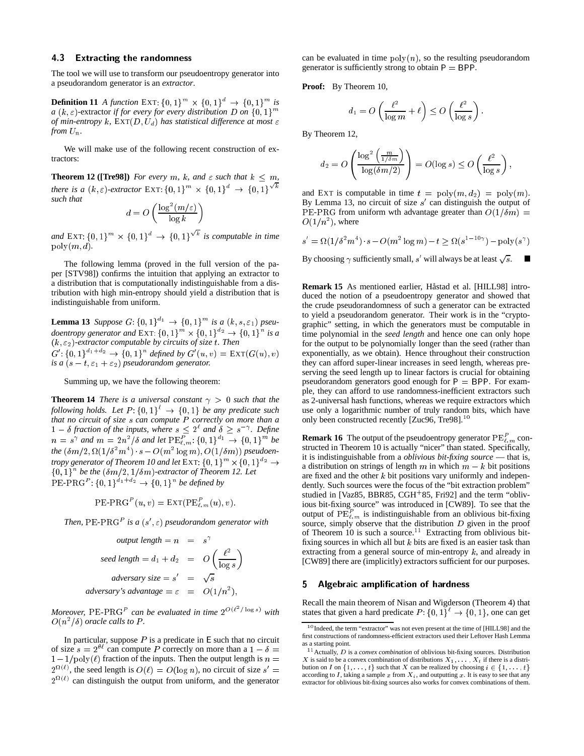#### **Extracting the randomness** 43

The tool we will use to transform our pseudoentropy generator into a pseudorandom generator is an *extractor*.

**Definition 11** *A function* EXT:  $\{0, 1\}^m \times \{0, 1\}^d \rightarrow \{0, 1\}^m$  is *a*  $(k, \varepsilon)$ -extractor *if for every for every distribution D on*  $\{0, 1\}^m$ *of min-entropy* k,  $\text{EXT}(D, U_d)$  has statistical difference at most  $\varepsilon$ *from*  $U_n$ .

We will make use of the following recent construction of extractors:

**Theorem 12 ([Tre98])** *For every m, k,* and  $\varepsilon$  *such that*  $k \leq m$ *, there is a*  $(k, \varepsilon)$ -extractor EXT:  $\{0, 1\}^m \times \{0, 1\}^d \rightarrow \{0, 1\}$  $\sqrt{k}$ *such that*

$$
d = O\left(\frac{\log^2(m/\varepsilon)}{\log k}\right)
$$

*and* EXT:  $\{0, 1\}^m \times \{0, 1\}^d \rightarrow \{0, 1\}$  $\sqrt[k]{k}$  is computable in time  $poly(m, d)$ .

The following lemma (proved in the full version of the paper [STV98]) confirms the intuition that applying an extractor to a distribution that is computationally indistinguishable from a distribution with high min-entropy should yield a distribution that is indistinguishable from uniform.

**Lemma 13** Suppose  $G: \{0, 1\}^{a_1} \to \{0, 1\}^m$  is a  $(k, s, \varepsilon_1)$  pseu*doentropy generator and* EXT:  $\{0, 1\}^m \times \{0, 1\}^{a_2} \rightarrow \{0, 1\}^n$  is a  $(k, \varepsilon_2)$ -extractor computable by circuits of size t. Then  $G'$ :  ${0, 1}^{a_1+a_2} \rightarrow {0, 1}^n$  defined by  $G'(u, v) = \text{EXT}(G(u), v)$ *is a*  $(s - t, \varepsilon_1 + \varepsilon_2)$  *pseudorandom generator.* 

Summing up, we have the following theorem:

**Theorem 14** *There is a universal constant*  $\gamma > 0$  *such that the following holds.* Let  $P: \{0, 1\}^t \rightarrow \{0, 1\}$  be any predicate such *that no circuit of size* <sup>s</sup> *can compute* <sup>P</sup> *correctly on more than a*  $1 - \delta$  fraction of the inputs, where  $s \leq 2^{\ell}$  and  $\delta \geq s^{-\gamma}$ . Define  $n = s^{\gamma}$  and  $m = 2n^2/\delta$  and let  $\text{PE}_{\ell,m}^P$ :  $\{0,1\}^{a_1} \to \{0,1\}^m$  be  $the \ (\delta m/2, \Omega(1/\delta^2 m^4) \cdot s - O(m^2 \log m), O(1/\delta m))$  pseudoen*tropy generator of Theorem 10 and let* EXT:  $\{0, 1\}^m \times \{0, 1\}^{a_2} \rightarrow$  $\{0,1\}^n$  be the  $(\delta m/2, 1/\delta m)$ -extractor of Theorem 12. Let  $PE-PRG<sup>P</sup>: {0, 1}<sup>a<sub>1</sub>+a<sub>2</sub></sup> \rightarrow {0, 1}<sup>n</sup>$  *be defined by* 

$$
\operatorname{PE-PRG}^{P}(u, v) = \operatorname{EXT}(\operatorname{PE}_{\ell,m}^{P}(u), v).
$$

Then,  $PE\text{-}PRG<sup>P</sup>$  is a  $(s', \varepsilon)$  pseudorandom generator with

output length = 
$$
n = s^{\gamma}
$$
  
\nseed length =  $d_1 + d_2 = O\left(\frac{\ell^2}{\log s}\right)$   
\nadversary size =  $s' = \sqrt{s}$   
\nadversary's advantage =  $\varepsilon = O(1/n^2)$ ,

*Moreover,* PE-PRG<sup>P</sup> can be evaluated in time  $2^{O(\ell^2/\log s)}$  with  $O(n^2/\delta)$  oracle calls to P.

In particular, suppose  $P$  is a predicate in  $E$  such that no circuit of size  $s = 2^{H}$  can compute P correctly on more than a  $1 - \delta =$  $1-1/poly(\ell)$  fraction of the inputs. Then the output length is  $n =$  $2^{\Omega(\ell)}$ , the seed length is  $O(\ell) = O(\log n)$ , no circuit of size  $s' =$  $2^{\Omega(\ell)}$  can distinguish the output from uniform, and the generator

can be evaluated in time  $poly(n)$ , so the resulting pseudorandom generator is sufficiently strong to obtain  $P = BPP$ .

**Proof:** By Theorem 10,

$$
d_1 = O\left(\frac{\ell^2}{\log m} + \ell\right) \le O\left(\frac{\ell^2}{\log s}\right)
$$

By Theorem 12,

$$
d_2 = O\left(\frac{\log^2\left(\frac{m}{1/\delta m}\right)}{\log(\delta m/2)}\right) = O(\log s) \le O\left(\frac{\ell^2}{\log s}\right)
$$

and EXT is computable in time  $t = \text{poly}(m, d_2) = \text{poly}(m)$ . By Lemma 13, no circuit of size  $s'$  can distinguish the output of PE-PRG from uniform wth advantage greater than  $O(1/\delta m)$  =  $O(1/n^2)$ , where

$$
s' = \Omega(1/\delta^2 m^4) \cdot s - O(m^2 \log m) - t \ge \Omega(s^{1-10\gamma}) - \text{poly}(s^{\gamma})
$$

By choosing  $\gamma$  sufficiently small, s' will always be at least  $\sqrt{s}$ .  $\blacksquare$ 

**Remark 15** As mentioned earlier, Håstad et al. [HILL98] introduced the notion of a pseudoentropy generator and showed that the crude pseudorandomness of such a generator can be extracted to yield a pseudorandom generator. Their work is in the "cryptographic" setting, in which the generators must be computable in time polynomial in the *seed length* and hence one can only hope for the output to be polynomially longer than the seed (rather than exponentially, as we obtain). Hence throughout their construction they can afford super-linear increases in seed length, whereas preserving the seed length up to linear factors is crucial for obtaining pseudorandom generators good enough for  $P = BPP$ . For example, they can afford to use randomness-inefficient extractors such as 2-universal hash functions, whereas we require extractors which use only a logarithmic number of truly random bits, which have only been constructed recently [Zuc96, Tre98].<sup>10</sup>

**Remark 16** The output of the pseudoentropy generator  $PE_{\ell,m}^P$  constructed in Theorem 10 is actually "nicer" than stated. Specifically, it is indistinguishable from a *oblivious bit-fixing source* — that is, a distribution on strings of length m in which  $m - k$  bit positions are fixed and the other  $k$  bit positions vary uniformly and independently. Such sources were the focus of the "bit extraction problem" studied in [Vaz85, BBR85, CGH<sup>+</sup>85, Fri92] and the term "oblivious bit-fixing source" was introduced in [CW89]. To see that the output of  $PE_{\ell,m}^P$  is indistinguishable from an oblivious bit-fixing source, simply observe that the distribution  $D$  given in the proof of Theorem 10 is such a source.<sup>11</sup> Extracting from oblivious bitfixing sources in which all but  $k$  bits are fixed is an easier task than extracting from a general source of min-entropy  $k$ , and already in [CW89] there are (implicitly) extractors sufficient for our purposes.

### 5 Algebraic amplication of hardness

Recall the main theorem of Nisan and Wigderson (Theorem 4) that states that given a hard predicate  $P: \{0, 1\}^{\ell} \to \{0, 1\}$ , one can get

<sup>&</sup>lt;sup>10</sup> Indeed, the term "extractor" was not even present at the time of [HILL98] and the first constructions of randomness-efficient extractors used their Leftover Hash Lemma as a starting point.

<sup>11</sup> Actually, <sup>D</sup> is a *convex combination* of oblivious bit-fixing sources. Distribution X is said to be a convex combination of distributions  $X_1, \ldots, X_t$  if there is a distribution on I on  $\{1, \ldots, t\}$  such that X can be realized by choosing  $i \in \{1, \ldots, t\}$ according to I, taking a sample x from  $X_i$ , and outputting x. It is easy to see that any extractor for oblivious bit-fixing sources also works for convex combinations of them.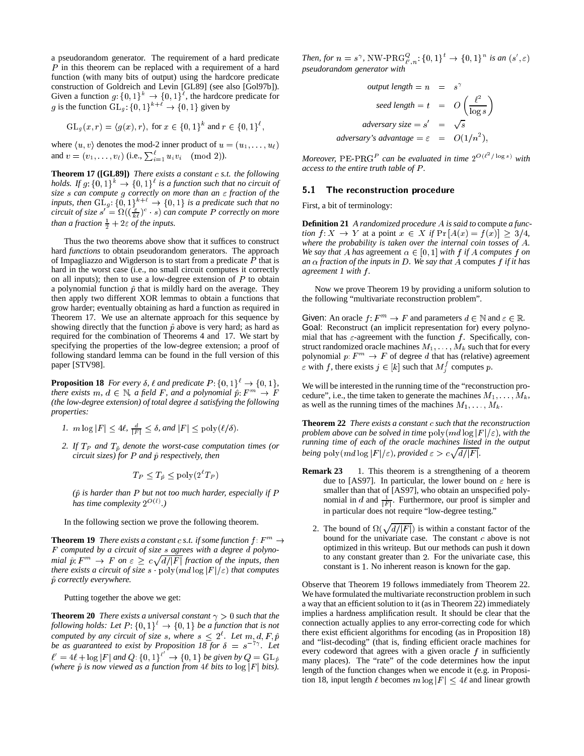a pseudorandom generator. The requirement of a hard predicate P in this theorem can be replaced with a requirement of a hard function (with many bits of output) using the hardcore predicate construction of Goldreich and Levin [GL89] (see also [Gol97b]). Given a function  $g: \{0,1\}^k \to \{0,1\}^{\ell}$ , the hardcore predicate for g is the function  $GL_q$ :  $\{0,1\}^{k+\ell} \to \{0,1\}$  given by

$$
GL_g(x,r) = \langle g(x), r \rangle
$$
, for  $x \in \{0,1\}^k$  and  $r \in \{0,1\}^{\ell}$ ,

where  $\langle u, v \rangle$  denotes the mod-2 inner product of  $u = (u_1, \ldots, u_\ell)$ and  $v = (v_1, \ldots, v_\ell)$  (i.e.,  $\sum_{i=1}^{\ell} u_i v_i \pmod{2}$ ).

**Theorem 17 ([GL89])** *There exists a constant* c *s.t. the following* holds. If  $g: \{0,1\}^k \rightarrow \{0,1\}^l$  is a function such that no circuit of *size* <sup>s</sup> *can compute* <sup>g</sup> *correctly on more than an* " *fraction of the inputs, then*  $GL_q$ :  $\{0,1\}^{k+\ell} \rightarrow \{0,1\}$  *is a predicate such that no circuit of size*  $s' = \Omega((\frac{\varepsilon}{k\ell})^c \cdot s)$  *can compute* P *correctly on more than a fraction*  $\frac{1}{2} + 2\varepsilon$  *of the inputs.* 

Thus the two theorems above show that it suffices to construct hard *functions* to obtain pseudorandom generators. The approach of Impagliazzo and Wigderson is to start from a predicate  $P$  that is hard in the worst case (i.e., no small circuit computes it correctly on all inputs); then to use a low-degree extension of  $P$  to obtain a polynomial function  $\hat{p}$  that is mildly hard on the average. They then apply two different XOR lemmas to obtain a functions that grow harder; eventually obtaining as hard a function as required in Theorem 17. We use an alternate approach for this sequence by showing directly that the function  $\hat{p}$  above is very hard; as hard as required for the combination of Theorems 4 and 17. We start by specifying the properties of the low-degree extension; a proof of following standard lemma can be found in the full version of this paper [STV98].

**Proposition 18** *For every*  $\delta$ ,  $\ell$  *and predicate*  $P: \{0, 1\}^{\ell} \rightarrow \{0, 1\}$ , *there exists*  $m, d \in \mathbb{N}$ , a field F, and a polynomial  $\hat{p}: F^m \to F$ *(the low-degree extension) of total degree* d *satisfying the following properties:*

- *1.*  $m \log |F| \leq 4\ell$ ,  $\frac{d}{|F|} \leq \delta$ , and  $|F| \leq \text{poly}(\ell/\delta)$ .
- 2. If  $T_P$  and  $T_{\hat{p}}$  denote the worst-case computation times (or *circuit sizes) for P* and  $\hat{p}$  *respectively, then*

$$
T_P \le T_{\hat{p}} \le \text{poly}(2^{\ell}T_P)
$$

*(*p^ *is harder than* P *but not too much harder, especially if* P *has time complexity*  $2^{\mathcal{O}(\ell)}$ .)

In the following section we prove the following theorem.

**Theorem 19** *There exists a constant c s.t. if some function*  $f: F^m \to$ <sup>F</sup> *computed by a circuit of size* s *agrees with a degree* d *polyno*mial  $\hat{p}: F^m \to F$  on  $\varepsilon \geq c \sqrt{d/|F|}$  fraction of the inputs, then *there exists a circuit of size* s  $\log \frac{1}{\pi}$   $\log \frac{1}{\pi}$  *(ref) that computes* p^ *correctly everywhere.*

Putting together the above we get:

**Theorem 20** *There exists a universal constant*  $\gamma > 0$  *such that the following holds: Let*  $P: \{0,1\}^{\ell} \rightarrow \{0,1\}$  *be a function that is not computed by any circuit of size* s, where  $s \leq 2^{\ell}$ . Let  $m, d, F, \hat{p}$ *be as guaranteed to exist by Proposition 18 for*  $\delta = s^{-7}$ . Let  $\ell' = 4\ell + \log |F|$  and  $Q: \{0,1\}^{\ell'} \rightarrow \{0,1\}$  be given by  $Q = GL_{\hat{p}}$ *(where*  $\hat{p}$  *is now viewed as a function from* 4 $\ell$  *bits to* log  $|F|$  *bits).* 

*Then, for*  $n = s^{\gamma}$ , NW-PR $G_{\ell',n}^Q$ :  $\{0,1\}^t \rightarrow \{0,1\}^n$  *is an*  $(s',\varepsilon)$ *pseudorandom generator with*

output length = 
$$
n = s^{\gamma}
$$
  
\nseed length =  $t = O\left(\frac{\ell^2}{\log s}\right)$   
\nadversary size =  $s' = \sqrt{s}$   
\nadversary's advantage =  $\epsilon = O(1/n^2)$ ,

*Moreover,*  $PE\text{-}PRG^P$  can be evaluated in time  $2^{O(\ell^2/\log s)}$  with *access to the entire truth table of*  $P$ *.* 

### 5.1 The reconstruction procedure

First, a bit of terminology:

**Definition 21** *A randomized procedure* <sup>A</sup> *is said to* compute *a function*  $f: X \to Y$  at a point  $x \in X$  *if*  $\Pr[A(x) = f(x)] \geq 3/4$ , *where the probability is taken over the internal coin tosses of* A*. We say that* A *has* agreement  $\alpha \in [0, 1]$  *with*  $f$  *if* A *computes*  $f$  *on an fraction of the inputs in* <sup>D</sup>*. We say that* <sup>A</sup> computes <sup>f</sup> *if it has agreement 1 with* f *.*

Now we prove Theorem 19 by providing a uniform solution to the following "multivariate reconstruction problem".

Given: An oracle  $f: F^m \to F$  and parameters  $d \in \mathbb{N}$  and  $\varepsilon \in \mathbb{R}$ . Goal: Reconstruct (an implicit representation for) every polynomial that has  $\varepsilon$ -agreement with the function f. Specifically, construct randomized oracle machines  $M_1, \ldots, M_k$  such that for every polynomial  $p: F^m \to F$  of degree d that has (relative) agreement  $\varepsilon$  with f, there exists  $j \in [k]$  such that  $M_i^j$  computes p.

We will be interested in the running time of the "reconstruction procedure", i.e., the time taken to generate the machines  $M_1, \ldots, M_k$ , as well as the running times of the machines  $M_1, \ldots, M_k$ .

**Theorem 22** *There exists a constant* <sup>c</sup> *such that the reconstruction problem above can be solved in time*  $\text{poly}(md \log |F|/\varepsilon)$ *, with the running time of each of the oracle machines listed in the output being* poly  $(md \log |F|/\varepsilon)$ , provided  $\varepsilon > c \sqrt{d/|F|}$ .

- **Remark 23** 1. This theorem is a strengthening of a theorem due to [AS97]. In particular, the lower bound on  $\varepsilon$  here is smaller than that of [AS97], who obtain an unspecified polynomial in d and  $\frac{1}{|F|}$ . Furthermore, our proof is simpler and in particular does not require "low-degree testing."
	- 2. The bound of  $\Omega(\sqrt{d/|F|})$  is within a constant factor of the bound for the univariate case. The constant  $c$  above is not optimized in this writeup. But our methods can push it down to any constant greater than <sup>2</sup>. For the univariate case, this constant is <sup>1</sup>. No inherent reason is known for the gap.

Observe that Theorem 19 follows immediately from Theorem 22. We have formulated the multivariate reconstruction problem in such a way that an efficient solution to it (as in Theorem 22) immediately implies a hardness amplification result. It should be clear that the connection actually applies to any error-correcting code for which there exist efficient algorithms for encoding (as in Proposition 18) and "list-decoding" (that is, finding efficient oracle machines for every codeword that agrees with a given oracle  $f$  in sufficiently many places). The "rate" of the code determines how the input length of the function changes when we encode it (e.g. in Proposition 18, input length  $\ell$  becomes  $m \log |F| < 4\ell$  and linear growth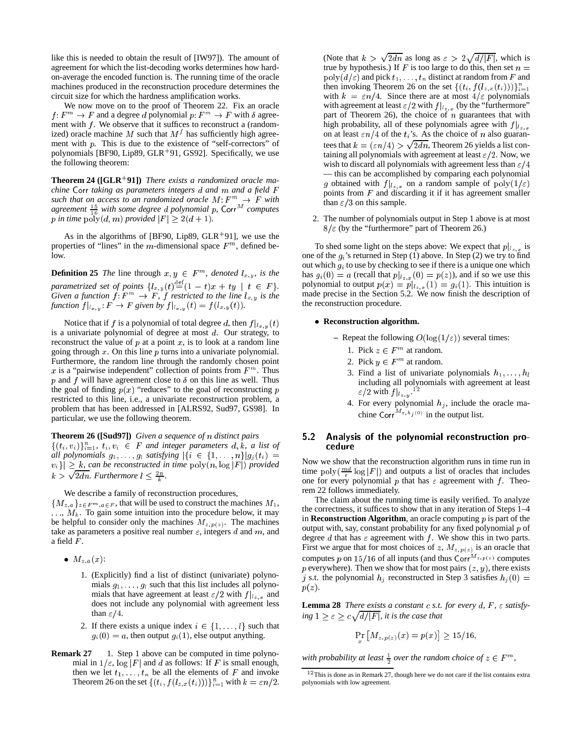like this is needed to obtain the result of [IW97]). The amount of agreement for which the list-decoding works determines how hardon-average the encoded function is. The running time of the oracle machines produced in the reconstruction procedure determines the circuit size for which the hardness amplification works.

We now move on to the proof of Theorem 22. Fix an oracle  $f: F^m \to F$  and a degree d polynomial  $p: F^m \to F$  with  $\delta$  agreement with  $f$ . We observe that it suffices to reconstruct a (randomized) oracle machine M such that  $M<sup>j</sup>$  has sufficiently high agreement with  $p$ . This is due to the existence of "self-correctors" of polynomials [BF90, Lip89, GLR<sup>+</sup> 91, GS92]. Specifically, we use the following theorem:

**Theorem 24 ([GLR**<sup>+</sup> **91])** *There exists a randomized oracle machine* Corr *taking as parameters integers* <sup>d</sup> *and* <sup>m</sup> *and a field* <sup>F</sup> *such that on access to an randomized oracle*  $M: F^m \to F$  *with agreement*  $\frac{15}{16}$  *with some degree d polynomial p,* Corr<sup>M</sup> *computes p* in time  $\text{poly}(d, m)$  *provided*  $|F| \geq 2(d + 1)$ *.* 

As in the algorithms of [BF90, Lip89,  $GLR+91$ ], we use the properties of "lines" in the m-dimensional space  $F<sup>m</sup>$ , defined below.

**Definition 25** *The* line through  $x, y \in F^m$ , denoted  $l_{x,y}$ , is the *parametrized set of points*  $\{l_{x,y}(t) \equiv (1-t)x + ty \mid t \in F\}.$ *Given a function*  $f: F^m \to F$ ,  $f$  *restricted to the line*  $l_{x,y}$  *is the function*  $f|_{l_{x,y}}$ :  $F \to F$  given by  $f|_{l_{x,y}}(t) = f(l_{x,y}(t)).$ 

Notice that if f is a polynomial of total degree d, then  $f|_{l_{x,y}}(t)$ is a univariate polynomial of degree at most  $d$ . Our strategy, to reconstruct the value of  $p$  at a point  $x$ , is to look at a random line going through  $x$ . On this line  $p$  turns into a univariate polynomial. Furthermore, the random line through the randomly chosen point x is a "pairwise independent" collection of points from  $F<sup>m</sup>$ . Thus p and f will have agreement close to  $\delta$  on this line as well. Thus the goal of finding  $p(x)$  "reduces" to the goal of reconstructing p restricted to this line, i.e., a univariate reconstruction problem, a problem that has been addressed in [ALRS92, Sud97, GS98]. In particular, we use the following theorem.

**Theorem 26 ([Sud97])** *Given a sequence of* n *distinct pairs*  $\{(t_i, v_i)\}_{i=1}^n$ ,  $t_i, v_i \in F$  *and integer parameters*  $d, k$ , *a list of all polynomials*  $g_1, \ldots, g_l$  *satisfying*  $|\{i \in \{1, \ldots, n\}| g_j(t_i) =$  $|v_i\rangle| \geq k$ , can be reconstructed in time  $\text{poly}(n, \log |F|)$  provided  $k > \sqrt{2dn}$ . Furthermore  $l \leq \frac{2n}{k}$ .

We describe a family of reconstruction procedures,

 ${M_{z,a}}_{z\in F^m,a\in F}$ , that will be used to construct the machines  $M_1$ ,  $\ldots$ ,  $M_k$ . To gain some intuition into the procedure below, it may be helpful to consider only the machines  $M_{z,p(z)}$ . The machines take as parameters a positive real number  $\varepsilon$ , integers d and m, and a field  $F$ .

- $\bullet$   $M_{z,a}(x)$ :
	- 1. (Explicitly) find a list of distinct (univariate) polynomials  $g_1, \ldots, g_l$  such that this list includes all polynomials that have agreement at least  $\varepsilon/2$  with  $f|_{l_{z,x}}$  and does not include any polynomial with agreement less than  $\varepsilon/4$ .
	- 2. If there exists a unique index  $i \in \{1, \ldots, l\}$  such that  $g_i(0) = a$ , then output  $g_i(1)$ , else output anything.
- **Remark 27** 1. Step 1 above can be computed in time polynomial in  $1/\varepsilon$ , log |F| and d as follows: If F is small enough, then we let  $t_1, \ldots, t_n$  be all the elements of F and invoke Theorem 26 on the set  $\{(t_i, f(l_{z,x}(t_i)))\}_{i=1}^n$  with  $k = \varepsilon n/2$ .

(Note that  $k > \sqrt{2dn}$  as long as  $\varepsilon > 2\sqrt{d/|F|}$ , which is true by hypothesis.) If F is too large to do this, then set  $n =$  $poly(d/\varepsilon)$  and pick  $t_1, \ldots, t_n$  distinct at random from F and then invoking Theorem 26 on the set  $\{(t_i, f(l_{z,x}(t_i)))\}_{i=1}^n$ with  $k = \varepsilon n/4$ . Since there are at most  $4/\varepsilon$  polynomials with agreement at least  $\varepsilon/2$  with  $f|_{l_{z,x}}$  (by the "furthermore" part of Theorem 26), the choice of  $n$  guarantees that with high probability, all of these polynomials agree with  $f|_{l_{z,x}}$ on at least  $\epsilon n/4$  of the  $t_i$ 's. As the choice of n also guarantees that  $k = (\varepsilon n/4) > \sqrt{2dn}$ , Theorem 26 yields a list containing all polynomials with agreement at least  $\varepsilon/2$ . Now, we wish to discard all polynomials with agreement less than  $\varepsilon/4$ — this can be accomplished by comparing each polynomial g obtained with  $f|_{l_{z,x}}$  on a random sample of  $poly(1/\varepsilon))$ points from  $F$  and discarding it if it has agreement smaller than  $\varepsilon/3$  on this sample.

2. The number of polynomials output in Step 1 above is at most  $8/\varepsilon$  (by the "furthermore" part of Theorem 26.)

To shed some light on the steps above: We expect that  $p|_{l_{z,x}}$  is one of the  $g_i$ 's returned in Step (1) above. In Step (2) we try to find out which  $g_i$  to use by checking to see if there is a unique one which has  $g_i(0) = a$  (recall that  $p|_{z,x}(0) = p(z)$ ), and if so we use this polynomial to output  $p(x) = p|_{l_{x,x}}(1) = g_i(1)$ . This intuition is made precise in the Section 5.2. We now finish the description of the reconstruction procedure.

### **Reconstruction algorithm.**

- **–** Repeat the following  $O(\log(1/\epsilon))$  several times:
	- 1. Pick  $z \in F^m$  at random.
	- 2. Pick  $y \in F^m$  at random.
	- 3. Find a list of univariate polynomials  $h_1, \ldots, h_l$ including all polynomials with agreement at least  $\varepsilon/2$  with  $f|_{l_{z,y}}$ .<sup>12</sup>
	- 4. For every polynomial  $h_j$ , include the oracle machine Corr<sup>M<sub>z, hj</sub>(0)</sup> in the output list.

### 5.2 Analysis of the polynomial reconstruction procedure

Now we show that the reconstruction algorithm runs in time run in time poly( $\frac{md}{s}$  log |F|) and outputs a list of oracles that includes one for every polynomial p that has  $\varepsilon$  agreement with f. Theorem 22 follows immediately.

The claim about the running time is easily verified. To analyze the correctness, it suffices to show that in any iteration of Steps 1–4 in **Reconstruction Algorithm**, an oracle computing  $p$  is part of the output with, say, constant probability for any fixed polynomial  $p$  of degree d that has  $\varepsilon$  agreement with f. We show this in two parts. First we argue that for most choices of z,  $M_{z,p(z)}$  is an oracle that computes p on 15/16 of all inputs (and thus  $Corr^{M_{z,p(z)}}$  computes p everywhere). Then we show that for most pairs  $(z, y)$ , there exists j s.t. the polynomial  $h_j$  reconstructed in Step 3 satisfies  $h_j(0) =$  $p(z)$ .

**Lemma 28** *There exists a constant c s.t. for every d, F,*  $\varepsilon$  *satisfy-* $\log 1 \geq \varepsilon \geq c \sqrt{d/|F|}$ , *it is the case that* 

$$
\Pr_{x} [M_{z,p(z)}(x) = p(x)] \ge 15/16,
$$

*with probability at least*  $\frac{1}{2}$  *over the random choice of*  $z \in F^m$ *,* 

 $12$  This is done as in Remark 27, though here we do not care if the list contains extra polynomials with low agreement.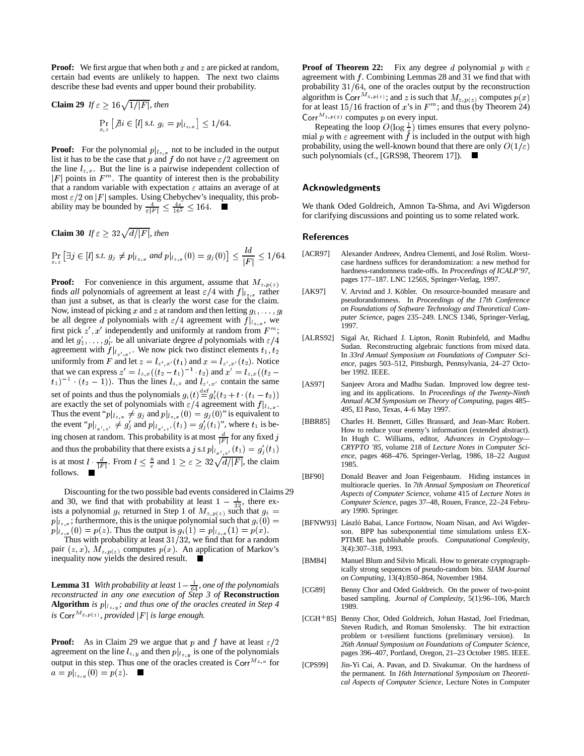**Proof:** We first argue that when both x and z are picked at random, certain bad events are unlikely to happen. The next two claims describe these bad events and upper bound their probability.

**Claim 29** 
$$
If \varepsilon \geq 16\sqrt{1/|F|}
$$
, then\n
$$
\Pr_{x,z} \left[ \text{Ai} \in [l] \text{ s.t. } g_i = p|_{l_{z,x}} \right] \leq 1/64.
$$

**Proof:** For the polynomial  $p|_{z,x}$  not to be included in the output list it has to be the case that p and f do not have  $\epsilon/2$  agreement on the line  $l_{z,x}$ . But the line is a pairwise independent collection of  $|F|$  points in  $F<sup>m</sup>$ . The quantity of interest then is the probability that a random variable with expectation  $\varepsilon$  attains an average of at most  $\epsilon/2$  on |F| samples. Using Chebychev's inequality, this probability may be bounded by  $\frac{4}{\varepsilon|F|} \leq \frac{4\varepsilon}{16^2} \leq 164$ .

**Claim 30** If 
$$
\varepsilon \ge 32\sqrt{d/|F|}
$$
, then  
\n
$$
\Pr_{x,z} \left[ \exists j \in [l] \text{ s.t. } g_j \neq p|_{l_{z,x}} \text{ and } p|_{l_{z,x}}(0) = g_j(0) \right] \le \frac{ld}{|F|} \le 1/64.
$$

**Proof:** For convenience in this argument, assume that  $M_{z,p(z)}$ finds *all* polynomials of agreement at least  $\epsilon/4$  with  $f|_{l_{z,x}}$  rather than just a subset, as that is clearly the worst case for the claim. Now, instead of picking x and z at random and then letting  $g_1, \ldots, g_l$ be all degree d polynomials with  $\varepsilon/4$  agreement with  $f|_{l_{z,x}}$ , we first pick  $z', x'$  independently and uniformly at random from  $F^m$ ; and let  $g'_1, \ldots, g'_l$ , be all univariate degree d polynomials with  $\varepsilon/4$ agreement with  $f|_{l_{z',n'}}$ . We now pick two distinct elements  $t_1, t_2$ uniformly from F and let  $z = l_{z',x'}(t_1)$  and  $x = l_{z',x'}(t_2)$ . Notice that we can express  $z' = l_{z,x}((t_2 - t_1)^{-1} \cdot t_2)$  and  $x' = l_{z,x}((t_2 - t_1)^{-1} \cdot (t_2 - 1))$ . Thus the lines  $l_{z,x}$  and  $l_{z',x'}$  contain the same set of points and thus the polynomials  $g_i(t) \stackrel{\text{def}}{=} g'_i(t_2 + t \cdot (t_1 - t_2))$  are exactly the set of polynomials with  $\varepsilon/4$  agreement with  $f|_{l_{z,x}}$ . Thus the event " $p|_{l_{z,x}} \neq g_j$  and  $p|_{l_{z,x}} (0) = g_j (0)$ " is equivalent to the event " $p|_{l_{x',z'}} \neq g'_j$  and  $p|_{l_{x',z'}}(t_1) = g'_j(t_1)$ ", where  $t_1$  is being chosen at random. This probability is at most  $\frac{d}{|F|}$  for any fixed j and thus the probability that there exists a j s.t  $p|_{l_{x',z'}}(t_1) = g'_{j}$ is at most  $l \cdot \frac{d}{|F|}$ . From  $l \leq \frac{8}{\varepsilon}$  and  $1 \geq \varepsilon \geq 32\sqrt{d/|F|}$ , the claim follows.

Discounting for the two possible bad events considered in Claims 29 and 30, we find that with probability at least  $1 - \frac{1}{32}$ , there exists a polynomial  $g_i$  returned in Step 1 of  $M_{z,p(z)}$  such that  $g_i =$  $p|_{l_{z,x}}$ ; furthermore, this is the unique polynomial such that  $g_i(0) =$  $p|_{z_{\alpha,\pi}}(0) = p(z)$ . Thus the output is  $g_i(1) = p|_{z_{\alpha,\pi}}(1) = p(x)$ .

Thus with probability at least  $31/32$ , we find that for a random pair  $(z, x)$ ,  $M_{z, p(z)}$  computes  $p(x)$ . An application of Markov's inequality now yields the desired result.

**Lemma 31** With probability at least  $1-\frac{1}{64}$ , one of the polynomials *reconstructed in any one execution of Step 3 of* **Reconstruction Algorithm** *is*  $p|_{l_{z,y}}$ ; and thus one of the oracles created in Step 4 *is* Corr<sup> $M_{z,p(z)}$ , provided  $|F|$  *is large enough.*</sup>

**Proof:** As in Claim 29 we argue that p and f have at least  $\epsilon/2$ agreement on the line  $l_{z,y}$  and then  $p|_{l_{z,y}}$  is one of the polynomials output in this step. Thus one of the oracles created is  $Corr^{M_{z,a}}$  for  $a = p|_{l_{z,y}}(0) = p(z).$ 

**Proof of Theorem 22:** Fix any degree d polynomial p with  $\varepsilon$ agreement with  $f$ . Combining Lemmas 28 and 31 we find that with probability  $31/64$ , one of the oracles output by the reconstruction algorithm is Corr<sup>M<sub>z, p(z)</sub>; and z is such that  $M_{z,p(z)}$  computes  $p(x)$ </sup> for at least  $15/16$  fraction of x's in  $F<sup>m</sup>$ ; and thus (by Theorem 24) Corr  $^{M_{z,p(z)}}$  computes p on every input.

Repeating the loop  $O(\log \frac{1}{\epsilon})$  times ensures that every polynomial p with  $\varepsilon$  agreement with f is included in the output with high probability, using the well-known bound that there are only  $O(1/\varepsilon)$ such polynomials (cf., [GRS98, Theorem 17]). ■

# Acknowledgments

We thank Oded Goldreich, Amnon Ta-Shma, and Avi Wigderson for clarifying discussions and pointing us to some related work.

### References

- [ACR97] Alexander Andreev, Andrea Clementi, and José Rolim. Worstcase hardness suffices for derandomization: a new method for hardness-randomness trade-offs. In *Proceedings of ICALP'97*, pages 177–187. LNC 1256S, Springer-Verlag, 1997.
- [AK97] V. Arvind and J. Köbler. On resource-bounded measure and pseudorandomness. In *Proceedings of the 17th Conference on Foundations of Software Technology and Theoretical Computer Science*, pages 235–249. LNCS 1346, Springer-Verlag, 1997.
- [ALRS92] Sigal Ar, Richard J. Lipton, Ronitt Rubinfeld, and Madhu Sudan. Reconstructing algebraic functions from mixed data. In *33rd Annual Symposium on Foundations of Computer Science*, pages 503–512, Pittsburgh, Pennsylvania, 24–27 October 1992. IEEE.
- [AS97] Sanjeev Arora and Madhu Sudan. Improved low degree testing and its applications. In *Proceedings of the Twenty-Ninth Annual ACM Symposium on Theory of Computing*, pages 485– 495, El Paso, Texas, 4–6 May 1997.
- [BBR85] Charles H. Bennett, Gilles Brassard, and Jean-Marc Robert. How to reduce your enemy's information (extended abstract). In Hugh C. Williams, editor, *Advances in Cryptology— CRYPTO '85*, volume 218 of *Lecture Notes in Computer Science*, pages 468–476. Springer-Verlag, 1986, 18–22 August 1985.
- [BF90] Donald Beaver and Joan Feigenbaum. Hiding instances in multioracle queries. In *7th Annual Symposium on Theoretical Aspects of Computer Science*, volume 415 of *Lecture Notes in Computer Science*, pages 37–48, Rouen, France, 22–24 February 1990. Springer.
- [BFNW93] László Babai, Lance Fortnow, Noam Nisan, and Avi Wigderson. BPP has subexponential time simulations unless EX-PTIME has publishable proofs. *Computational Complexity*, 3(4):307–318, 1993.
- [BM84] Manuel Blum and Silvio Micali. How to generate cryptographically strong sequences of pseudo-random bits. *SIAM Journal on Computing*, 13(4):850–864, November 1984.
- [CG89] Benny Chor and Oded Goldreich. On the power of two-point based sampling. *Journal of Complexity*, 5(1):96–106, March 1989.
- [CGH<sup>+</sup>85] Benny Chor, Oded Goldreich, Johan Hastad, Joel Friedman, Steven Rudich, and Roman Smolensky. The bit extraction problem or t-resilient functions (preliminary version). In *26th Annual Symposium on Foundations of Computer Science*, pages 396–407, Portland, Oregon, 21–23 October 1985. IEEE.
- [CPS99] Jin-Yi Cai, A. Pavan, and D. Sivakumar. On the hardness of the permanent. In *16th International Symposium on Theoretical Aspects of Computer Science*, Lecture Notes in Computer